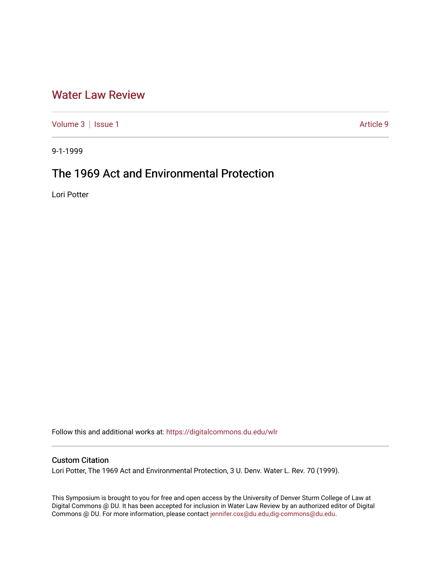## [Water Law Review](https://digitalcommons.du.edu/wlr)

[Volume 3](https://digitalcommons.du.edu/wlr/vol3) | [Issue 1](https://digitalcommons.du.edu/wlr/vol3/iss1) Article 9

9-1-1999

# The 1969 Act and Environmental Protection

Lori Potter

Follow this and additional works at: [https://digitalcommons.du.edu/wlr](https://digitalcommons.du.edu/wlr?utm_source=digitalcommons.du.edu%2Fwlr%2Fvol3%2Fiss1%2F9&utm_medium=PDF&utm_campaign=PDFCoverPages) 

### Custom Citation

Lori Potter, The 1969 Act and Environmental Protection, 3 U. Denv. Water L. Rev. 70 (1999).

This Symposium is brought to you for free and open access by the University of Denver Sturm College of Law at Digital Commons @ DU. It has been accepted for inclusion in Water Law Review by an authorized editor of Digital Commons @ DU. For more information, please contact [jennifer.cox@du.edu,dig-commons@du.edu.](mailto:jennifer.cox@du.edu,dig-commons@du.edu)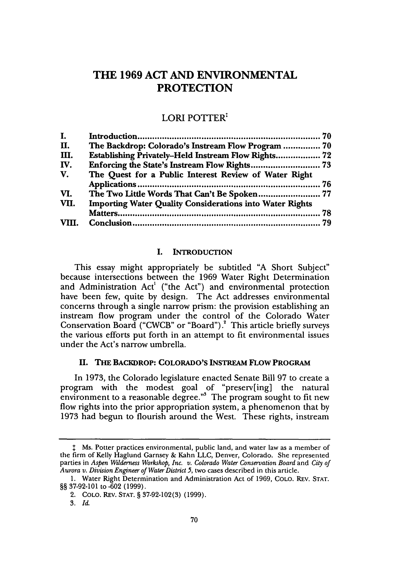### **THE 1969 ACT AND ENVIRONMENTAL PROTECTION**

#### LORI **POTTER**

| I.    |                                                                 |  |
|-------|-----------------------------------------------------------------|--|
| П.    | The Backdrop: Colorado's Instream Flow Program  70              |  |
| Ш.    | Establishing Privately-Held Instream Flow Rights 72             |  |
| IV.   |                                                                 |  |
| V.    | The Quest for a Public Interest Review of Water Right           |  |
|       |                                                                 |  |
| VI.   | The Two Little Words That Can't Be Spoken 77                    |  |
| VII.  | <b>Importing Water Quality Considerations into Water Rights</b> |  |
|       |                                                                 |  |
| VIII. |                                                                 |  |
|       |                                                                 |  |

#### **I. INTRODUCTION**

This essay might appropriately be subtitled "A Short Subject" because intersections between the 1969 Water Right Determination and Administration Act' ("the Act") and environmental protection have been few, quite by design. The Act addresses environmental concerns through a single narrow prism: the provision establishing an instream flow program under the control of the Colorado Water Conservation Board ("CWCB" or "Board") **.** This article briefly surveys the various efforts put forth in an attempt to fit environmental issues under the Act's narrow umbrella.

#### II. **THE BACKDROP: COLORADO'S INSTREAM FLOW PROGRAM**

In **1973,** the Colorado legislature enacted Senate Bill **97** to create a program with the modest goal of "preserv[ing] the natural environment to a reasonable degree."<sup>3</sup> The program sought to fit new flow rights into the prior appropriation system, a phenomenon that by 1973 had begun to flourish around the West. These rights, instream

**<sup>\*</sup>** Ms. Potter practices environmental, public land, and water law as a member of the firm of Kelly Haglund Garnsey & Kahn LLC, Denver, Colorado. She represented parties in *Aspen Wilderness Workshop, Inc. v. Colorado Water Conservation Board* and *City of Aurora v. Division Engineer of Water District 5,* two cases described in this article.

<sup>1.</sup> Water Right Determination and Administration Act of 1969, COLO. REV. STAT. **§§** 37-92-101 to -602 (1999).

<sup>2.</sup> COLO. REv. STAT. **§** 37-92-102(3) (1999).

<sup>3.</sup> *Id.*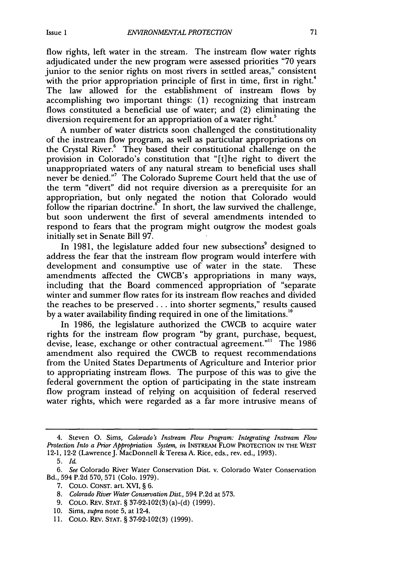flow rights, left water in the stream. The instream flow water rights adjudicated under the new program were assessed priorities "70 years junior to the senior rights on most rivers in settled areas," consistent with the prior appropriation principle of first in time, first in right.<sup>4</sup> The law allowed for the establishment of instream flows by accomplishing two important things: (1) recognizing that instream flows constituted a beneficial use of water; and (2) eliminating the diversion requirement for an appropriation of a water right.<sup>5</sup>

A number of water districts soon challenged the constitutionality of the instream flow program, as well as particular appropriations on the Crystal River.<sup>6</sup> They based their constitutional challenge on the provision in Colorado's constitution that "[t]he right to divert the unappropriated waters of any natural stream to beneficial uses shall never be denied." The Colorado Supreme Court held that the use of the term "divert" did not require diversion as a prerequisite for an appropriation, but only negated the notion that Colorado would follow the riparian doctrine. $\mathbf{F}$  In short, the law survived the challenge, but soon underwent the first of several amendments intended to respond to fears that the program might outgrow the modest goals initially set in Senate Bill 97.

In 1981, the legislature added four new subsections<sup>9</sup> designed to address the fear that the instream flow program would interfere with development and consumptive use of water in the state. These amendments affected the CWCB's appropriations in many ways, including that the Board commenced appropriation of "separate winter and summer flow rates for its instream flow reaches and divided the reaches to be preserved.., into shorter segments," results caused by a water availability finding required in one of the limitations."

In 1986, the legislature authorized the CWCB to acquire water rights for the instream flow program "by grant, purchase, bequest, devise, lease, exchange or other contractual agreement."" The 1986 amendment also required the CWCB to request recommendations from the United States Departments of Agriculture and Interior prior to appropriating instream flows. The purpose of this was to give the federal government the option of participating in the state instream flow program instead of relying on acquisition of federal reserved water rights, which were regarded as a far more intrusive means of

- 7. COLO. CONsT. art. XVI, § 6.
- 8. *Colorado River Water Conservation Dist.,* 594 P.2d at 573.
- 9. COLO. REv. STAT. § 37-92-102(3)(a)-(d) (1999).
- 10. Sims, *supra* note 5, at 124.

<sup>4.</sup> Steven **0.** Sims, *Colorado's Instream Flow Program: Integrating Instream Flow Protection Into a Prior Appropriation System, in* INSTREAM FLOW PROTECriON IN THE WEST 12-1, 12-2 (Lawrence J. MacDonnell & Teresa A. Rice, eds., rev. ed., 1993).

<sup>5.</sup> *Id.*

*<sup>6.</sup> See* Colorado River Water Conservation Dist. v. Colorado Water Conservation Bd., 594 P.2d 570, 571 (Colo. 1979).

<sup>11.</sup> COLO. REv. STAT. § 37-92-102(3) (1999).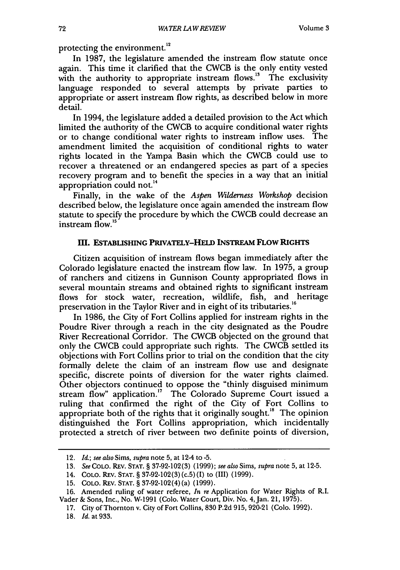protecting the environment.<sup>12</sup>

In 1987, the legislature amended the instream flow statute once again. This time it clarified that the CWCB is the only entity vested with the authority to appropriate instream flows.<sup>13</sup> The exclusivity language responded to several attempts by private parties to appropriate or assert instream flow rights, as described below in more detail.

In 1994, the legislature added a detailed provision to the Act which limited the authority of the CWCB to acquire conditional water rights or to change conditional water rights to instream inflow uses. The amendment limited the acquisition of conditional rights to water rights located in the Yampa Basin which the CWCB could use to recover a threatened or an endangered species as part of a species recovery program and to benefit the species in a way that an initial appropriation could not.<sup>14</sup>

Finally, in the wake of the *Aspen Wilderness Workshop* decision described below, the legislature once again amended the instream flow statute to specify the procedure by which the CWCB could decrease an instream flow.'<sup>5</sup>

#### **III. ESTABLISHING PRIVATELY-HELD INSTREAM FLOW RIGHTS**

Citizen acquisition of instream flows began immediately after the Colorado legislature enacted the instream flow law. In 1975, a group of ranchers and citizens in Gunnison County appropriated flows in several mountain streams and obtained rights to significant instream flows for stock water, recreation, wildlife, fish, and heritage preservation in the Taylor River and in eight of its tributaries.<sup>16</sup>

In 1986, the City of Fort Collins applied for instream rights in the Poudre River through a reach in the city designated as the Poudre River Recreational Corridor. The CWCB objected on the ground that only the CWCB could appropriate such rights. The CWCB settled its objections with Fort Collins prior to trial on the condition that the city formally delete the claim of an instream flow use and designate specific, discrete points of diversion for the water rights claimed. Other objectors continued to oppose the "thinly disguised minimum stream flow" application.<sup>17</sup> The Colorado Supreme Court issued a ruling that confirmed the right of the City of Fort Collins to appropriate both of the rights that it originally sought.<sup>18</sup> The opinion distinguished the Fort Collins appropriation, which incidentally protected a stretch of river between two definite points of diversion,

<sup>12.</sup> *Id.; see also Sims, supra* note 5, at 12-4 to **-5.**

<sup>13.</sup> *See* COLO. REv. **STAT.** § 37-92-102(3) (1999); *see also* Sims, *supra* note 5, at 12-5.

<sup>14.</sup> COLO. REv. STAT. § 37-92-102(3) (c.5) (I) to (III) (1999).

**<sup>15.</sup>** COLO. REv. STAT. § 37-92-102(4) (a) (1999).

<sup>16.</sup> Amended ruling of water referee, *In re* Application for Water Rights of R.I. Vader & Sons, Inc., No. W-1991 (Colo. Water Court, Div. No. 4,Jan. 21, 1975).

<sup>17.</sup> City of Thornton v. City of Fort Collins, 830 P.2d 915, 920-21 (Colo. 1992).

<sup>18.</sup> *Id.* at 933.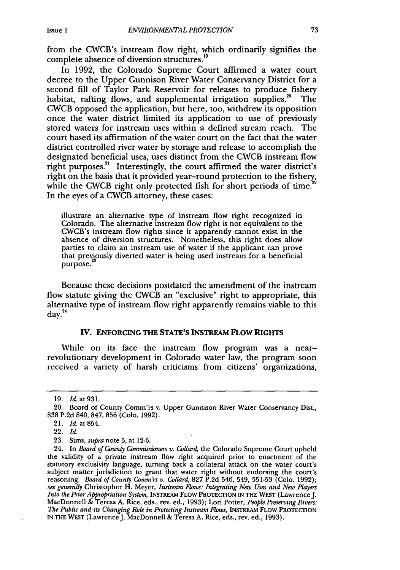from the CWCB's instream flow right, which ordinarily signifies the complete absence of diversion structures.<sup>19</sup>

In 1992, the Colorado Supreme Court affirmed a water court decree to the Upper Gunnison River Water Conservancy District for a second fill of Taylor Park Reservoir for releases to produce fishery<br>habitat, rafting flows, and supplemental irrigation supplies.<sup>20</sup> The habitat, rafting flows, and supplemental irrigation supplies.<sup>20</sup> CWCB opposed the application, but here, too, withdrew its opposition once the water district limited its application to use of previously stored waters for instream uses within a defined stream reach. The court based its affirmation of the water court on the fact that the water district controlled river water by storage and release to accomplish the designated beneficial uses, uses distinct from the CWCB instream flow right purposes.<sup>21</sup> Interestingly, the court affirmed the water district's right on the basis that it provided year-round protection to the fishery, while the CWCB right only protected fish for short periods of time. In the eyes of a CWCB attorney, these cases:

illustrate an alternative type of instream flow right recognized in Colorado. The alternative instream flow right is not equivalent to the CWCB's instream flow rights since it apparently cannot exist in the absence of diversion structures. Nonetheless, this right does allow parties to claim an instream use of water if the applicant can prove that previously diverted water is being used instream for a beneficial purpose.

Because these decisions postdated the amendment of the instream flow statute giving the CWCB an "exclusive" right to appropriate, this alternative type of instream flow right apparently remains viable to this  $d$ av. $^{24}$ 

#### **IV. ENFORCING THE STATE'S** INSTREAM **FLOW RIGHTS**

While on its face the instream flow program was a nearrevolutionary development in Colorado water law, the program soon received a variety of harsh criticisms from citizens' organizations,

<sup>19.</sup> Id. at 931.

<sup>20.</sup> Board of County Comm'rs v. Upper Gunnison River Water Conservancy Dist., 838 P.2d 840, 847, 856 (Colo. 1992).

<sup>21.</sup> *Id.* at 854.

<sup>22.</sup> *Id.*

<sup>23.</sup> Sims, *supra* note 5, at 12-6.

<sup>24.</sup> In *Board of County Commissioners v. Collard,* the Colorado Supreme Court upheld the validity of a private instream flow right acquired prior to enactment of the statutory exclusivity language, turning back a collateral attack on the water court's subject matter jurisdiction to grant that water right without endorsing the court's reasoning. *Board of County Comm'rs v. Collard,* 827 P.2d 546, 549, 551-53 (Colo. 1992); *see generally* Christopher H. Meyer, *Instream Flows: Integrating New Uses and New Players Into the Prior Appropriation System,* INSTREAM FLOW PROTECTION IN THE WEST (Lawrence J. MacDonnell & Teresa A. Rice, eds., rev. ed., 1993); Lori Potter, *People Preserving Rivers: The Public and its Changing Role in Protecting Instream Flows,* INTREAM FLOW PROTECTION IN THE WEST (Lawrence J. MacDonnell & Teresa A. Rice, eds., rev. ed., 1993).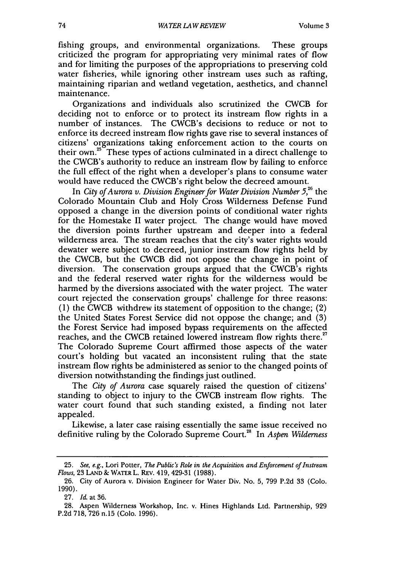fishing groups, and environmental organizations. These groups criticized the program for appropriating very minimal rates of flow and for limiting the purposes of the appropriations to preserving cold water fisheries, while ignoring other instream uses such as rafting, maintaining riparian and wetland vegetation, aesthetics, and channel maintenance.

Organizations and individuals also scrutinized the CWCB for deciding not to enforce or to protect its instream flow rights in a number of instances. The CWCB's decisions to reduce or not to enforce its decreed instream flow rights gave rise to several instances of citizens' organizations taking enforcement action to the courts on their own.<sup>25</sup> These types of actions culminated in a direct challenge to the CWCB's authority to reduce an instream flow by failing to enforce the full effect of the right when a developer's plans to consume water would have reduced the CWCB's right below the decreed amount.

In *City of Aurora v. Division Engineer for Water Division Number 5,26* the Colorado Mountain Club and Holy Cross Wilderness Defense Fund opposed a change in the diversion points of conditional water rights for the Homestake II water project. The change would have moved the diversion points further upstream and deeper into a federal wilderness area. The stream reaches that the city's water rights would dewater were subject to decreed, junior instream flow rights held by the CWCB, but the CWCB did not oppose the change in point of diversion. The conservation groups argued that the CWCB's rights and the federal reserved water rights for the wilderness would be harmed by the diversions associated with the water project. The water court rejected the conservation groups' challenge for three reasons: (1) the CWCB withdrew its statement of opposition to the change; (2) the United States Forest Service did not oppose the change; and (3) the Forest Service had imposed bypass requirements on the affected reaches, and the CWCB retained lowered instream flow rights there.<sup>27</sup> The Colorado Supreme Court affirmed those aspects of the water court's holding but vacated an inconsistent ruling that the state instream flow rights be administered as senior to the changed points of diversion notwithstanding the findings just outlined.

The *City of Aurora* case squarely raised the question of citizens' standing to object to injury to the CWCB instream flow rights. The water court found that such standing existed, a finding not later appealed.

Likewise, a later case raising essentially the same issue received no definitive ruling by the Colorado Supreme Court.8 In *Aspen Wilderness*

<sup>25.</sup> *See, e.g.,* Lori Potter, *The Public's Role in the Acquisition and Enforcement of Instream Flows,* 23 LAND **&** WATERL. REv. 419, 429-31 (1988).

<sup>26.</sup> City of Aurora v. Division Engineer for Water Div. No. 5, 799 P.2d 33 (Colo. 1990).

**<sup>27.</sup>** *Id.* at **36.**

<sup>28.</sup> Aspen Wilderness Workshop, Inc. v. Hines Highlands Ltd. Partnership, 929 P.2d 718, 726 n.15 (Colo. 1996).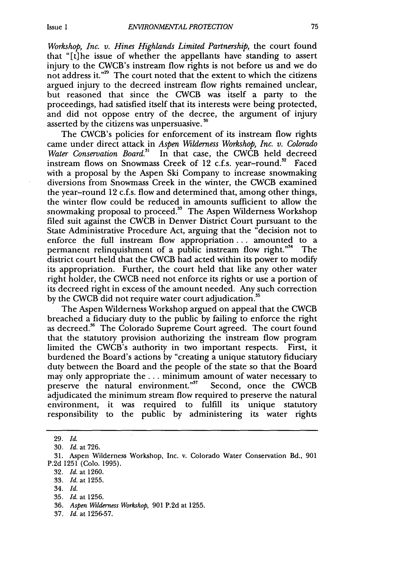*Workshop, Inc. v. Hines Highlands Limited Partnership, the court found* that "[t]he issue of whether the appellants have standing to assert injury to the CWCB's instream flow rights is not before us and we do not address it."<sup>29</sup> The court noted that the extent to which the citizens argued injury to the decreed instream flow rights remained unclear, but reasoned that since the CWCB was itself a party to the proceedings, had satisfied itself that its interests were being protected, and did not oppose entry of the decree, the argument of injury asserted by the citizens was unpersuasive. **30**

The CWCB's policies for enforcement of its instream flow rights came under direct attack in *Aspen Wilderness Workshop, Inc. v. Colorado* Water Conservation Board.<sup>31</sup> In that case, the CWCB held decreed instream flows on Snowmass Creek of 12 c.f.s. year-round.<sup>32</sup> Faced with a proposal by the Aspen Ski Company to increase snowmaking diversions from Snowmass Creek in the winter, the CWCB examined the year-round 12 c.f.s. flow and determined that, among other things, the winter flow could be reduced in amounts sufficient to allow the snowmaking proposal to proceed. $3<sup>3</sup>$  The Aspen Wilderness Workshop filed suit against the CWCB in Denver District Court pursuant to the State Administrative Procedure Act, arguing that the "decision not to enforce the full instream flow appropriation... amounted to a permanent relinquishment of a public instream flow right."<sup>34</sup> The district court held that the CWCB had acted within its power to modify its appropriation. Further, the court held that like any other water right holder, the CWCB need not enforce its rights or use a portion of its decreed right in excess of the amount needed. Any such correction by the CWCB did not require water court adjudication.<sup>35</sup>

The Aspen Wilderness Workshop argued on appeal that the CWCB breached a fiduciary duty to the public by failing to enforce the right as decreed.<sup>36</sup> The Colorado Supreme Court agreed. The court found that the statutory provision authorizing the instream flow program limited the CWCB's authority in two important respects. First, it burdened the Board's actions by "creating a unique statutory fiduciary duty between the Board and the people of the state so that the Board may only appropriate the ... minimum amount of water necessary to preserve the natural environment."<sup>37</sup> Second, once the CWCB adjudicated the minimum stream flow required to preserve the natural environment, it was required to fulfill its unique statutory responsibility to the public by administering its water rights

32, *Id.* at 1260.

37. *Id.* at 1256-57.

<sup>29.</sup> *Id.*

<sup>30.</sup> *Id.* at 726.

<sup>31.</sup> Aspen Wilderness Workshop, Inc. v. Colorado Water Conservation Bd., 901 P.2d 1251 (Colo. 1995).

<sup>33.</sup> *Id.* at 1255.

<sup>34,</sup> *Id.*

*<sup>35.</sup> Id.* at 1256.

<sup>36.</sup> *Aspen Wilderness Workshop,* 901 P.2d at 1255.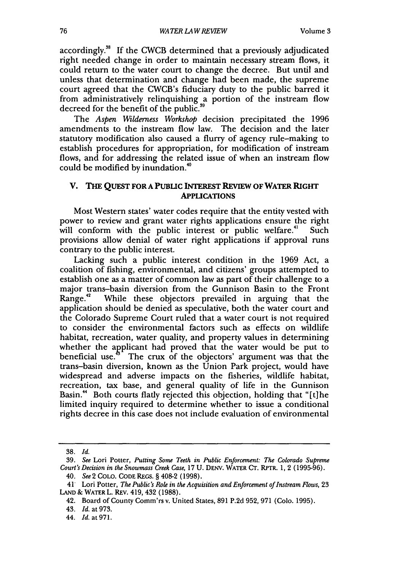accordingly.38 If the CWCB determined that a previously adjudicated right needed change in order to maintain necessary stream flows, it could return to the water court to change the decree. But until and unless that determination and change had been made, the supreme court agreed that the CWCB's fiduciary duty to the public barred it from administratively relinquishing a portion of the instream flow decreed for the benefit of the public.<sup>3</sup>

The *Aspen Wilderness Workshop* decision precipitated the 1996 amendments to the instream flow law. The decision and the later statutory modification also caused a flurry of agency rule-making to establish procedures for appropriation, for modification of instream flows, and for addressing the related issue of when an instream flow could be modified by inundation."

#### V. **THE QUEST FOR A PUBLIC INTEREST REVIEW OF WATER RIGHT APPLICATIONS**

Most Western states' water codes require that the entity vested with power to review and grant water rights applications ensure the right will conform with the public interest or public welfare.<sup>41</sup> Such provisions allow denial of water right applications if approval runs contrary to the public interest.

Lacking such a public interest condition in the 1969 Act, a coalition of fishing, environmental, and citizens' groups attempted to establish one as a matter of common law as part of their challenge to a major trans-basin diversion from the Gunnison Basin to the Front Range.<sup>42</sup> While these objectors prevailed in arguing that the application should be denied as speculative, both the water court and the Colorado Supreme Court ruled that a water court is not required to consider the environmental factors such as effects on wildlife habitat, recreation, water quality, and property values in determining whether the applicant had proved that the water would be put to beneficial use.<sup>5</sup> The crux of the objectors' argument was that the The crux of the objectors' argument was that the trans-basin diversion, known as the Union Park project, would have widespread and adverse impacts on the fisheries, wildlife habitat, recreation, tax base, and general quality of life in the Gunnison Basin.<sup>44</sup> Both courts flatly rejected this objection, holding that "[t]he limited inquiry required to determine whether to issue a conditional rights decree in this case does not include evaluation of environmental

**<sup>38.</sup>** *Id.*

<sup>39.</sup> *See* Lori Potter, *Putting Some Teeth in Public Enforcement: The Colorado Supreme Court's Decision in the Snowmass Creek Case,* 17 U. DENV. WATER CT. RPTR. 1, 2 (1995-96).

<sup>40.</sup> *See2* COLO. **CODE** REGs. § 408-2 **(1998).**

<sup>41&#</sup>x27; Lori Potter, *The Public's Role in the Acquisition and Enforcement of Instream Flows,* 23 **LAND &** WATER L. REv. 419, 432 (1988).

<sup>42.</sup> Board of County Comm'rs v. United States, 891 P.2d 952, 971 (Colo. 1995).

<sup>43.</sup> Id. at 973.

<sup>44.</sup> Id. at 971.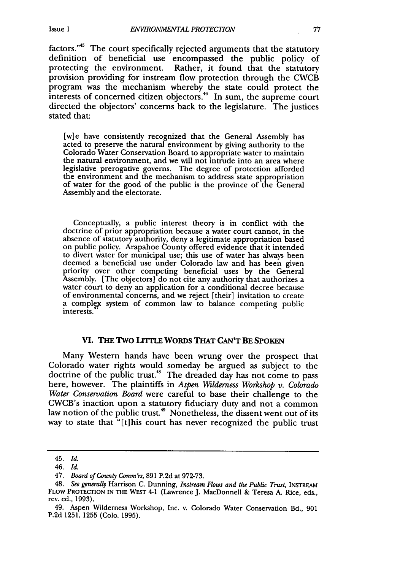factors." $45$  The court specifically rejected arguments that the statutory definition of beneficial use encompassed the public policy of protecting the environment. Rather, it found that the statutory provision providing for instream flow protection through the CWCB program was the mechanism whereby the state could protect the interests of concerned citizen objectors.<sup>46</sup> In sum, the supreme court directed the objectors' concerns back to the legislature. The justices stated that:

[w]e have consistently recognized that the General Assembly has acted to preserve the natural environment by giving authority to the Colorado Water Conservation Board to appropriate water to maintain the natural environment, and we will not intrude into an area where legislative prerogative governs. The degree of protection afforded the environment and the mechanism to address state appropriation of water for the good of the public is the province of the General Assembly and the electorate.

Conceptually, a public interest theory is in conflict with the doctrine of prior appropriation because a water court cannot, in the absence of statutory authority, deny a legitimate appropriation based on public policy. Arapahoe County offered evidence that it intended to divert water for municipal use; this use of water has always been priority over other competing beneficial uses by the General Assembly. [The objectors] do not cite any authority that authorizes a water court to deny an application for a conditional decree because of environmental concerns, and we reject [their] invitation to create a complex system of common law to balance competing public interests.

#### **VI. THE TWO LrTLE** WORDS THAT **CAN'T** BE **SPOKEN**

Many Western hands have been wrung over the prospect that Colorado water rights would someday be argued as subject to the doctrine of the public trust.<sup>48</sup> The dreaded day has not come to pass here, however. The plaintiffs in *Aspen Wilderness Workshop v. Colorado Water Conservation Board* were careful to base their challenge to the CWCB's inaction upon a statutory fiduciary duty and not a common law notion of the public trust.<sup>49</sup> Nonetheless, the dissent went out of its way to state that "[t] his court has never recognized the public trust

<sup>45.</sup> *Id.*

<sup>46.</sup> *Id.*

<sup>47.</sup> *Board of County Comm'rs,* 891 P.2d at 972-73.

<sup>48.</sup> *See generally* Harrison C. Dunning, *Instream* Flows *and the Public Trust,* INSTREAM FLOW PROTECTION IN THE WEST 4-1 (Lawrence J. MacDonnell & Teresa A. Rice, eds., rev. ed., 1993).

<sup>49.</sup> Aspen Wilderness Workshop, Inc. v. Colorado Water Conservation Bd., 901 P.2d 1251, 1255 (Colo. 1995).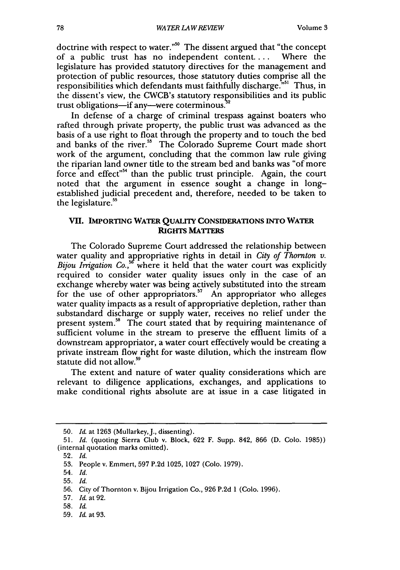doctrine with respect to water."<sup>50</sup> The dissent argued that "the concept" of a public trust has no independent content.... Where the legislature has provided statutory directives for the management and protection of public resources, those statutory duties comprise all the responsibilities which defendants must faithfully discharge."<sup>51</sup> Thus, in the dissent's view, the CWCB's statutory responsibilities and its public trust obligations—if any—were coterminous.

In defense of a charge of criminal trespass against boaters who rafted through private property, the public trust was advanced as the basis of a use right to float through the property and to touch the bed and banks of the river.<sup>55</sup> The Colorado Supreme Court made short work of the argument, concluding that the common law rule giving the riparian land owner title to the stream bed and banks was "of more force and effect"<sup>54</sup> than the public trust principle. Again, the court noted that the argument in essence sought a change in longestablished judicial precedent and, therefore, needed to be taken to the legislature.

#### **VII. IMPORTING WATER QUALITY CONSIDERATIONS INTO WATER RIGHTS MATTERS**

The Colorado Supreme Court addressed the relationship between water quality and appropriative rights in detail in *City of Thornton v. Bijou Irrigation Co.*<sup>56</sup> where it held that the water court was explicitly required to consider water quality issues only in the case of an exchange whereby water was being actively substituted into the stream for the use of other appropriators.<sup>57</sup> An appropriator who alleges water quality impacts as a result of appropriative depletion, rather than substandard discharge or supply water, receives no relief under the present system.<sup>58</sup> The court stated that by requiring maintenance of sufficient volume in the stream to preserve the effluent limits of a downstream appropriator, a water court effectively would be creating a private instream flow right for waste dilution, which the instream flow statute did not allow.<sup>59</sup>

The extent and nature of water quality considerations which are relevant to diligence applications, exchanges, and applications to make conditional rights absolute are at issue in a case litigated in

59. *Id.* at 93.

<sup>50.</sup> *Id.* at 1263 (Mullarkey, J., dissenting).

<sup>51.</sup> *Id.* (quoting Sierra Club v. Block, 622 F. Supp. 842, 866 (D. Colo. 1985)) (internal quotation marks omitted).

<sup>52.</sup> *Id.*

<sup>53.</sup> People v. Emmert, 597 P.2d 1025, 1027 (Colo. 1979).

<sup>54.</sup> *Id.*

<sup>55.</sup> *Id.*

<sup>56.</sup> City of Thornton v. Bijou Irrigation Co., 926 P.2d 1 (Colo. 1996).

<sup>57.</sup> *Id.* at 92.

**<sup>58.</sup>** *Id.*